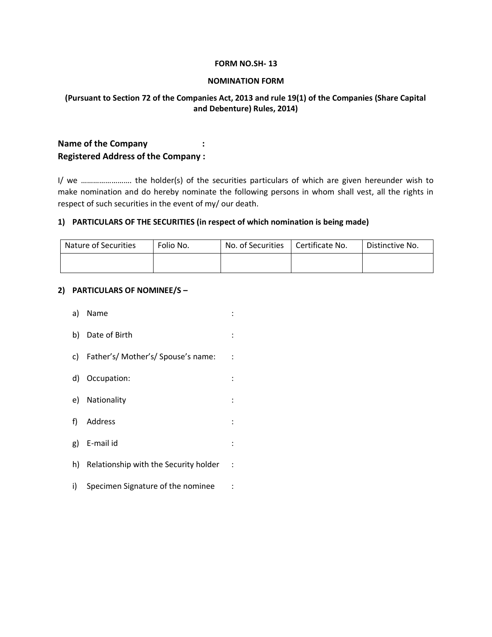#### **FORM NO.SH- 13**

#### **NOMINATION FORM**

### **(Pursuant to Section 72 of the Companies Act, 2013 and rule 19(1) of the Companies (Share Capital and Debenture) Rules, 2014)**

# **Name of the Company**  $\qquad$  **: Registered Address of the Company :**

I/ we ……………………. the holder(s) of the securities particulars of which are given hereunder wish to make nomination and do hereby nominate the following persons in whom shall vest, all the rights in respect of such securities in the event of my/ our death.

### **1) PARTICULARS OF THE SECURITIES (in respect of which nomination is being made)**

| Nature of Securities | Folio No. | No. of Securities | Certificate No. | Distinctive No. |
|----------------------|-----------|-------------------|-----------------|-----------------|
|                      |           |                   |                 |                 |

### **2) PARTICULARS OF NOMINEE/S –**

|    | a) Name                               |                      |
|----|---------------------------------------|----------------------|
|    | b) Date of Birth                      |                      |
|    | c) Father's/Mother's/Spouse's name:   | $\ddot{\phantom{0}}$ |
|    | d) Occupation:                        |                      |
|    | e) Nationality                        |                      |
|    | f) Address                            | ÷                    |
|    | g) E-mail id                          | ۰.                   |
| h) | Relationship with the Security holder | ÷                    |
| i) | Specimen Signature of the nominee     |                      |